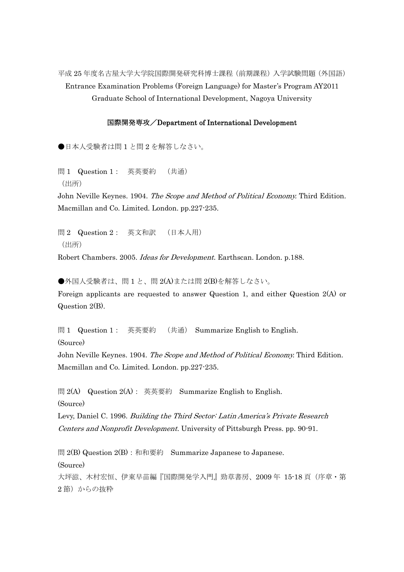平成 25 年度名古屋大学大学院国際開発研究科博士課程(前期課程)入学試験問題(外国語) Entrance Examination Problems (Foreign Language) for Master's Program AY2011 Graduate School of International Development, Nagoya University

## 国際開発専攻/Department of International Development

●日本人受験者は問1と問2を解答しなさい。

問 1 Question 1: 英英要約 (共通) (出所)

John Neville Keynes. 1904. The Scope and Method of Political Economy. Third Edition. Macmillan and Co. Limited. London. pp.227-235.

問 2 Question 2: 英文和訳 (日本人用) (出所) Robert Chambers. 2005. Ideas for Development. Earthscan. London. p.188.

●外国人受験者は、問1と、問2(A)または問2(B)を解答しなさい。 Foreign applicants are requested to answer Question 1, and either Question 2(A) or Question 2(B).

問 1 Question 1: 英英要約 (共通) Summarize English to English. (Source)

John Neville Keynes. 1904. The Scope and Method of Political Economy. Third Edition. Macmillan and Co. Limited. London. pp.227-235.

問 2(A) Question 2(A): 英英要約 Summarize English to English. (Source)

Levy, Daniel C. 1996. Building the Third Sector: Latin America's Private Research Centers and Nonprofit Development. University of Pittsburgh Press. pp. 90-91.

問 2(B) Question  $2(B)$ : 和和要約 Summarize Japanese to Japanese. (Source) 大坪滋、木村宏恒、伊東早苗編『国際開発学入門』勁草書房、2009年 15-18頁 (序章・第 2節)からの抜粋